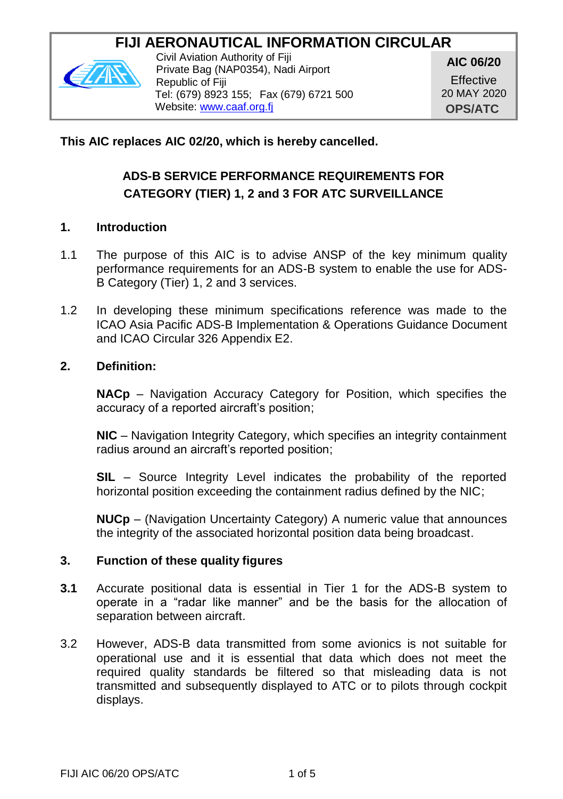# **FIJI AERONAUTICAL INFORMATION CIRCULAR**



Civil Aviation Authority of Fiji Private Bag (NAP0354), Nadi Airport Republic of Fiji Tel: (679) 8923 155; Fax (679) 6721 500 Website: [www.caaf.org.fj](http://www.caaf.org.fj/)

**AIC 06/20**

**Effective** 20 MAY 2020 **OPS/ATC**

## **This AIC replaces AIC 02/20, which is hereby cancelled.**

# **ADS-B SERVICE PERFORMANCE REQUIREMENTS FOR CATEGORY (TIER) 1, 2 and 3 FOR ATC SURVEILLANCE**

#### **1. Introduction**

- 1.1 The purpose of this AIC is to advise ANSP of the key minimum quality performance requirements for an ADS-B system to enable the use for ADS-B Category (Tier) 1, 2 and 3 services.
- 1.2 In developing these minimum specifications reference was made to the ICAO Asia Pacific ADS-B Implementation & Operations Guidance Document and ICAO Circular 326 Appendix E2.

#### **2. Definition:**

**NACp** – Navigation Accuracy Category for Position, which specifies the accuracy of a reported aircraft's position;

**NIC** – Navigation Integrity Category, which specifies an integrity containment radius around an aircraft's reported position;

**SIL** – Source Integrity Level indicates the probability of the reported horizontal position exceeding the containment radius defined by the NIC;

**NUCp** – (Navigation Uncertainty Category) A numeric value that announces the integrity of the associated horizontal position data being broadcast.

#### **3. Function of these quality figures**

- **3.1** Accurate positional data is essential in Tier 1 for the ADS-B system to operate in a "radar like manner" and be the basis for the allocation of separation between aircraft.
- 3.2 However, ADS-B data transmitted from some avionics is not suitable for operational use and it is essential that data which does not meet the required quality standards be filtered so that misleading data is not transmitted and subsequently displayed to ATC or to pilots through cockpit displays.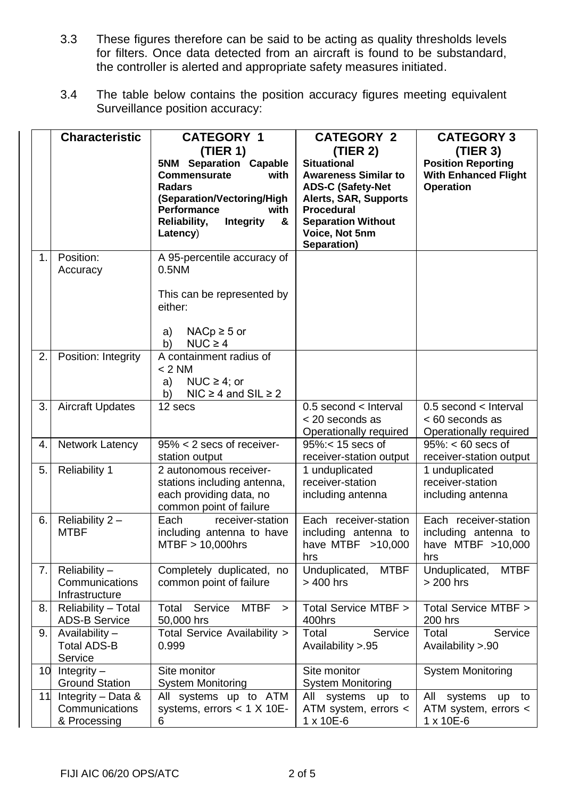- 3.3 These figures therefore can be said to be acting as quality thresholds levels for filters. Once data detected from an aircraft is found to be substandard, the controller is alerted and appropriate safety measures initiated.
- 3.4 The table below contains the position accuracy figures meeting equivalent Surveillance position accuracy:

|    | <b>Characteristic</b>                                | <b>CATEGORY 1</b><br>(TIER 1)<br>5NM Separation Capable<br>Commensurate<br>with<br><b>Radars</b><br>(Separation/Vectoring/High<br>Performance<br>with<br>Integrity<br>Reliability,<br>&<br>Latency) | <b>CATEGORY 2</b><br>(TIER 2)<br><b>Situational</b><br><b>Awareness Similar to</b><br><b>ADS-C (Safety-Net</b><br>Alerts, SAR, Supports<br>Procedural<br><b>Separation Without</b><br>Voice, Not 5nm<br>Separation) | <b>CATEGORY 3</b><br>(TIER 3)<br><b>Position Reporting</b><br><b>With Enhanced Flight</b><br><b>Operation</b> |
|----|------------------------------------------------------|-----------------------------------------------------------------------------------------------------------------------------------------------------------------------------------------------------|---------------------------------------------------------------------------------------------------------------------------------------------------------------------------------------------------------------------|---------------------------------------------------------------------------------------------------------------|
| 1. | Position:<br>Accuracy                                | A 95-percentile accuracy of<br>0.5NM<br>This can be represented by<br>either:<br>$NACp \geq 5$ or<br>a)<br>$NUC \geq 4$<br>b)                                                                       |                                                                                                                                                                                                                     |                                                                                                               |
| 2. | Position: Integrity                                  | A containment radius of<br>< 2 NM<br>NUC $\geq 4$ ; or<br>a)<br>b)<br>NIC $\geq$ 4 and SIL $\geq$ 2                                                                                                 |                                                                                                                                                                                                                     |                                                                                                               |
| 3. | <b>Aircraft Updates</b>                              | 12 secs                                                                                                                                                                                             | $0.5$ second $\lt$ Interval<br>< 20 seconds as<br>Operationally required                                                                                                                                            | $0.5$ second < Interval<br>< 60 seconds as<br>Operationally required                                          |
| 4. | Network Latency                                      | 95% < 2 secs of receiver-<br>station output                                                                                                                                                         | 95%:< 15 secs of<br>receiver-station output                                                                                                                                                                         | $95\%$ : < 60 secs of<br>receiver-station output                                                              |
| 5. | <b>Reliability 1</b>                                 | 2 autonomous receiver-<br>stations including antenna,<br>each providing data, no<br>common point of failure                                                                                         | 1 unduplicated<br>receiver-station<br>including antenna                                                                                                                                                             | 1 unduplicated<br>receiver-station<br>including antenna                                                       |
| 6. | Reliability 2-<br><b>MTBF</b>                        | receiver-station<br>Each<br>including antenna to have<br>MTBF > 10,000hrs                                                                                                                           | Each receiver-station<br>including antenna to<br>have MTBF >10,000<br>hrs                                                                                                                                           | Each receiver-station<br>including antenna to<br>have MTBF >10,000<br>hrs                                     |
| 7. | Reliability -<br>Communications<br>Infrastructure    | Completely duplicated, no<br>common point of failure                                                                                                                                                | Unduplicated,<br><b>MTBF</b><br>$>400$ hrs                                                                                                                                                                          | Unduplicated,<br><b>MTBF</b><br>$> 200$ hrs                                                                   |
| 8. | Reliability - Total<br><b>ADS-B Service</b>          | Service<br><b>MTBF</b><br>Total<br>$\geq$<br>50,000 hrs                                                                                                                                             | Total Service MTBF ><br>400hrs                                                                                                                                                                                      | Total Service MTBF ><br>200 hrs                                                                               |
| 9. | Availability -<br><b>Total ADS-B</b><br>Service      | Total Service Availability ><br>0.999                                                                                                                                                               | Total<br>Service<br>Availability >.95                                                                                                                                                                               | Total<br>Service<br>Availability >.90                                                                         |
| 10 | Integrity $-$<br><b>Ground Station</b>               | Site monitor<br>System Monitoring                                                                                                                                                                   | Site monitor<br><b>System Monitoring</b>                                                                                                                                                                            | <b>System Monitoring</b>                                                                                      |
| 11 | Integrity - Data &<br>Communications<br>& Processing | All systems up to ATM<br>systems, errors $<$ 1 X 10E-<br>6                                                                                                                                          | All systems up<br>to<br>ATM system, errors <<br>1 x 10E-6                                                                                                                                                           | aii<br>systems up to<br>ATM system, errors <<br>1 x 10E-6                                                     |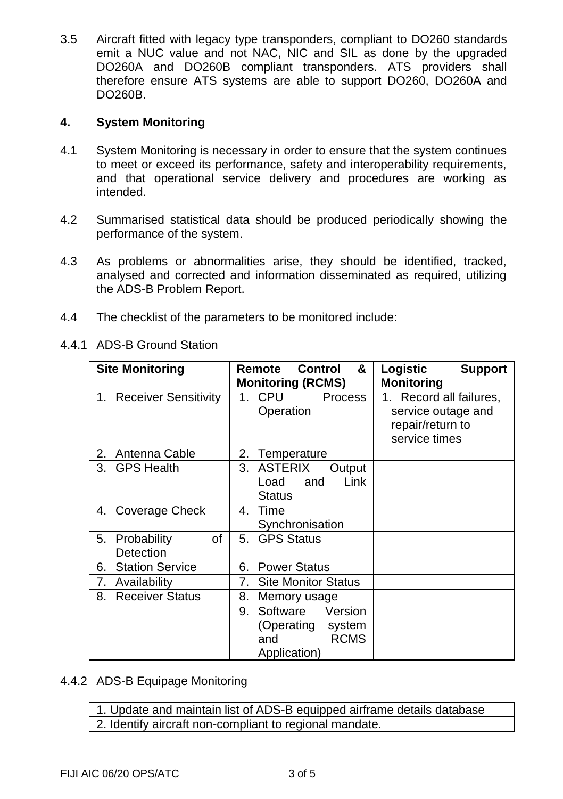3.5 Aircraft fitted with legacy type transponders, compliant to DO260 standards emit a NUC value and not NAC, NIC and SIL as done by the upgraded DO260A and DO260B compliant transponders. ATS providers shall therefore ensure ATS systems are able to support DO260, DO260A and DO260B.

## **4. System Monitoring**

- 4.1 System Monitoring is necessary in order to ensure that the system continues to meet or exceed its performance, safety and interoperability requirements, and that operational service delivery and procedures are working as intended.
- 4.2 Summarised statistical data should be produced periodically showing the performance of the system.
- 4.3 As problems or abnormalities arise, they should be identified, tracked, analysed and corrected and information disseminated as required, utilizing the ADS-B Problem Report.
- 4.4 The checklist of the parameters to be monitored include:
- 4.4.1 ADS-B Ground Station

| <b>Site Monitoring</b>               | Control<br>&<br>Remote<br><b>Monitoring (RCMS)</b>                                      | Logistic<br><b>Support</b><br>Monitoring                                           |
|--------------------------------------|-----------------------------------------------------------------------------------------|------------------------------------------------------------------------------------|
| <b>Receiver Sensitivity</b><br>1.    | <b>CPU</b><br>Process<br>1.<br>Operation                                                | 1. Record all failures,<br>service outage and<br>repair/return to<br>service times |
| 2.<br>Antenna Cable                  | 2.<br>Temperature                                                                       |                                                                                    |
| <b>GPS Health</b><br>3.              | <b>ASTERIX</b><br>3.<br>Output<br>Link<br>Load<br>and<br>Status                         |                                                                                    |
| 4. Coverage Check                    | Time<br>4.<br>Synchronisation                                                           |                                                                                    |
| οf<br>5.<br>Probability<br>Detection | <b>GPS Status</b><br>5.                                                                 |                                                                                    |
| <b>Station Service</b><br>6.         | <b>Power Status</b><br>6.                                                               |                                                                                    |
| 7.<br>Availability                   | <b>Site Monitor Status</b><br>7.                                                        |                                                                                    |
| <b>Receiver Status</b><br>8.         | 8.<br>Memory usage                                                                      |                                                                                    |
|                                      | Software<br>Version<br>9.<br>(Operating<br>system<br><b>RCMS</b><br>and<br>Application) |                                                                                    |

4.4.2 ADS-B Equipage Monitoring

1. Update and maintain list of ADS-B equipped airframe details database 2. Identify aircraft non-compliant to regional mandate.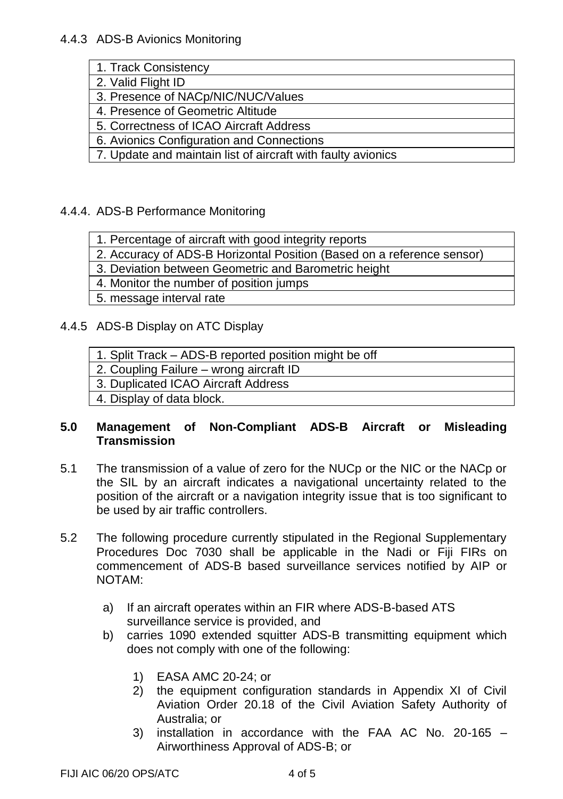| 1. Track Consistency                                         |  |  |
|--------------------------------------------------------------|--|--|
| 2. Valid Flight ID                                           |  |  |
| 3. Presence of NACp/NIC/NUC/Values                           |  |  |
| 4. Presence of Geometric Altitude                            |  |  |
| 5. Correctness of ICAO Aircraft Address                      |  |  |
| 6. Avionics Configuration and Connections                    |  |  |
| 7. Update and maintain list of aircraft with faulty avionics |  |  |

# 4.4.4. ADS-B Performance Monitoring

1. Percentage of aircraft with good integrity reports

2. Accuracy of ADS-B Horizontal Position (Based on a reference sensor)

3. Deviation between Geometric and Barometric height

4. Monitor the number of position jumps

5. message interval rate

## 4.4.5 ADS-B Display on ATC Display

| 1. Split Track - ADS-B reported position might be off |  |
|-------------------------------------------------------|--|
|-------------------------------------------------------|--|

2. Coupling Failure – wrong aircraft ID

3. Duplicated ICAO Aircraft Address

4. Display of data block.

#### **5.0 Management of Non-Compliant ADS-B Aircraft or Misleading Transmission**

- 5.1 The transmission of a value of zero for the NUCp or the NIC or the NACp or the SIL by an aircraft indicates a navigational uncertainty related to the position of the aircraft or a navigation integrity issue that is too significant to be used by air traffic controllers.
- 5.2 The following procedure currently stipulated in the Regional Supplementary Procedures Doc 7030 shall be applicable in the Nadi or Fiji FIRs on commencement of ADS-B based surveillance services notified by AIP or NOTAM:
	- a) If an aircraft operates within an FIR where ADS-B-based ATS surveillance service is provided, and
	- b) carries 1090 extended squitter ADS-B transmitting equipment which does not comply with one of the following:
		- 1) EASA AMC 20-24; or
		- 2) the equipment configuration standards in Appendix XI of Civil Aviation Order 20.18 of the Civil Aviation Safety Authority of Australia; or
		- 3) installation in accordance with the FAA AC No. 20-165 Airworthiness Approval of ADS-B; or